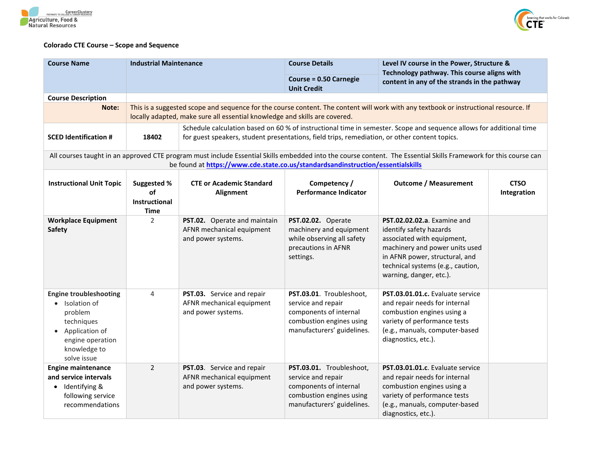



## **Colorado CTE Course – Scope and Sequence**

| <b>Course Name</b>                                                                                                                              | <b>Industrial Maintenance</b>                            |                                                                                               | <b>Course Details</b>                                                                                                              | Level IV course in the Power, Structure &<br>Technology pathway. This course aligns with<br>content in any of the strands in the pathway                                                                                 |                            |
|-------------------------------------------------------------------------------------------------------------------------------------------------|----------------------------------------------------------|-----------------------------------------------------------------------------------------------|------------------------------------------------------------------------------------------------------------------------------------|--------------------------------------------------------------------------------------------------------------------------------------------------------------------------------------------------------------------------|----------------------------|
|                                                                                                                                                 |                                                          |                                                                                               | <b>Course = 0.50 Carnegie</b><br><b>Unit Credit</b>                                                                                |                                                                                                                                                                                                                          |                            |
| <b>Course Description</b>                                                                                                                       |                                                          |                                                                                               |                                                                                                                                    |                                                                                                                                                                                                                          |                            |
| Note:                                                                                                                                           |                                                          | locally adapted, make sure all essential knowledge and skills are covered.                    |                                                                                                                                    | This is a suggested scope and sequence for the course content. The content will work with any textbook or instructional resource. If                                                                                     |                            |
| <b>SCED Identification #</b>                                                                                                                    | 18402                                                    | for guest speakers, student presentations, field trips, remediation, or other content topics. |                                                                                                                                    | Schedule calculation based on 60 % of instructional time in semester. Scope and sequence allows for additional time                                                                                                      |                            |
|                                                                                                                                                 |                                                          | be found at https://www.cde.state.co.us/standardsandinstruction/essentialskills               |                                                                                                                                    | All courses taught in an approved CTE program must include Essential Skills embedded into the course content. The Essential Skills Framework for this course can                                                         |                            |
| <b>Instructional Unit Topic</b>                                                                                                                 | <b>Suggested %</b><br><b>of</b><br>Instructional<br>Time | <b>CTE or Academic Standard</b><br>Alignment                                                  | Competency /<br><b>Performance Indicator</b>                                                                                       | <b>Outcome / Measurement</b>                                                                                                                                                                                             | <b>CTSO</b><br>Integration |
| <b>Workplace Equipment</b><br><b>Safety</b>                                                                                                     | $\overline{2}$                                           | PST.02. Operate and maintain<br>AFNR mechanical equipment<br>and power systems.               | PST.02.02. Operate<br>machinery and equipment<br>while observing all safety<br>precautions in AFNR<br>settings.                    | PST.02.02.02.a. Examine and<br>identify safety hazards<br>associated with equipment,<br>machinery and power units used<br>in AFNR power, structural, and<br>technical systems (e.g., caution,<br>warning, danger, etc.). |                            |
| <b>Engine troubleshooting</b><br>• Isolation of<br>problem<br>techniques<br>• Application of<br>engine operation<br>knowledge to<br>solve issue | $\overline{4}$                                           | PST.03. Service and repair<br>AFNR mechanical equipment<br>and power systems.                 | PST.03.01. Troubleshoot,<br>service and repair<br>components of internal<br>combustion engines using<br>manufacturers' guidelines. | PST.03.01.01.c. Evaluate service<br>and repair needs for internal<br>combustion engines using a<br>variety of performance tests<br>(e.g., manuals, computer-based<br>diagnostics, etc.).                                 |                            |
| <b>Engine maintenance</b><br>and service intervals<br>Identifying &<br>following service<br>recommendations                                     | $\overline{2}$                                           | PST.03. Service and repair<br>AFNR mechanical equipment<br>and power systems.                 | PST.03.01. Troubleshoot,<br>service and repair<br>components of internal<br>combustion engines using<br>manufacturers' guidelines. | PST.03.01.01.c. Evaluate service<br>and repair needs for internal<br>combustion engines using a<br>variety of performance tests<br>(e.g., manuals, computer-based<br>diagnostics, etc.).                                 |                            |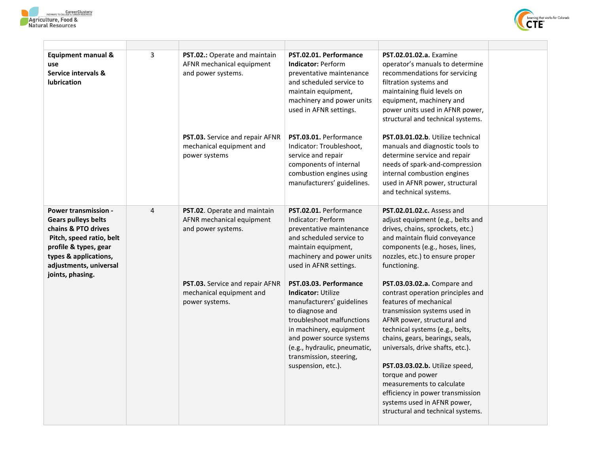



| <b>Equipment manual &amp;</b><br>use<br>Service intervals &<br><b>lubrication</b>                                                                                                                            | 3 | PST.02.: Operate and maintain<br>AFNR mechanical equipment<br>and power systems. | PST.02.01. Performance<br><b>Indicator: Perform</b><br>preventative maintenance<br>and scheduled service to<br>maintain equipment,<br>machinery and power units<br>used in AFNR settings.                                                                                | <b>PST.02.01.02.a.</b> Examine<br>operator's manuals to determine<br>recommendations for servicing<br>filtration systems and<br>maintaining fluid levels on<br>equipment, machinery and<br>power units used in AFNR power,<br>structural and technical systems.                                                                                                                                                                                               |  |
|--------------------------------------------------------------------------------------------------------------------------------------------------------------------------------------------------------------|---|----------------------------------------------------------------------------------|--------------------------------------------------------------------------------------------------------------------------------------------------------------------------------------------------------------------------------------------------------------------------|---------------------------------------------------------------------------------------------------------------------------------------------------------------------------------------------------------------------------------------------------------------------------------------------------------------------------------------------------------------------------------------------------------------------------------------------------------------|--|
|                                                                                                                                                                                                              |   | PST.03. Service and repair AFNR<br>mechanical equipment and<br>power systems     | PST.03.01. Performance<br>Indicator: Troubleshoot,<br>service and repair<br>components of internal<br>combustion engines using<br>manufacturers' guidelines.                                                                                                             | PST.03.01.02.b. Utilize technical<br>manuals and diagnostic tools to<br>determine service and repair<br>needs of spark-and-compression<br>internal combustion engines<br>used in AFNR power, structural<br>and technical systems.                                                                                                                                                                                                                             |  |
| <b>Power transmission -</b><br><b>Gears pulleys belts</b><br>chains & PTO drives<br>Pitch, speed ratio, belt<br>profile & types, gear<br>types & applications,<br>adjustments, universal<br>joints, phasing. | 4 | PST.02. Operate and maintain<br>AFNR mechanical equipment<br>and power systems.  | PST.02.01. Performance<br>Indicator: Perform<br>preventative maintenance<br>and scheduled service to<br>maintain equipment,<br>machinery and power units<br>used in AFNR settings.                                                                                       | PST.02.01.02.c. Assess and<br>adjust equipment (e.g., belts and<br>drives, chains, sprockets, etc.)<br>and maintain fluid conveyance<br>components (e.g., hoses, lines,<br>nozzles, etc.) to ensure proper<br>functioning.                                                                                                                                                                                                                                    |  |
|                                                                                                                                                                                                              |   | PST.03. Service and repair AFNR<br>mechanical equipment and<br>power systems.    | PST.03.03. Performance<br><b>Indicator: Utilize</b><br>manufacturers' guidelines<br>to diagnose and<br>troubleshoot malfunctions<br>in machinery, equipment<br>and power source systems<br>(e.g., hydraulic, pneumatic,<br>transmission, steering,<br>suspension, etc.). | PST.03.03.02.a. Compare and<br>contrast operation principles and<br>features of mechanical<br>transmission systems used in<br>AFNR power, structural and<br>technical systems (e.g., belts,<br>chains, gears, bearings, seals,<br>universals, drive shafts, etc.).<br>PST.03.03.02.b. Utilize speed,<br>torque and power<br>measurements to calculate<br>efficiency in power transmission<br>systems used in AFNR power,<br>structural and technical systems. |  |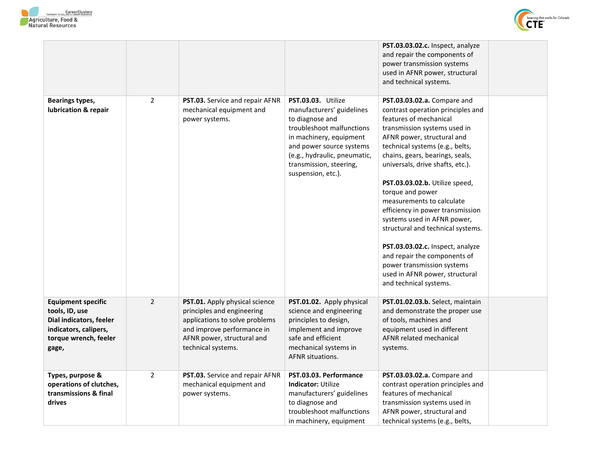



|                                                                                                                                   |                |                                                                                                                                                                                  |                                                                                                                                                                                                                                         | PST.03.03.02.c. Inspect, analyze<br>and repair the components of<br>power transmission systems<br>used in AFNR power, structural<br>and technical systems.                                                                                                                                                                                                                                                                                                                                                                                                                                                                  |  |
|-----------------------------------------------------------------------------------------------------------------------------------|----------------|----------------------------------------------------------------------------------------------------------------------------------------------------------------------------------|-----------------------------------------------------------------------------------------------------------------------------------------------------------------------------------------------------------------------------------------|-----------------------------------------------------------------------------------------------------------------------------------------------------------------------------------------------------------------------------------------------------------------------------------------------------------------------------------------------------------------------------------------------------------------------------------------------------------------------------------------------------------------------------------------------------------------------------------------------------------------------------|--|
| Bearings types,<br>lubrication & repair                                                                                           | $\overline{2}$ | PST.03. Service and repair AFNR<br>mechanical equipment and<br>power systems.                                                                                                    | PST.03.03. Utilize<br>manufacturers' guidelines<br>to diagnose and<br>troubleshoot malfunctions<br>in machinery, equipment<br>and power source systems<br>(e.g., hydraulic, pneumatic,<br>transmission, steering,<br>suspension, etc.). | PST.03.03.02.a. Compare and<br>contrast operation principles and<br>features of mechanical<br>transmission systems used in<br>AFNR power, structural and<br>technical systems (e.g., belts,<br>chains, gears, bearings, seals,<br>universals, drive shafts, etc.).<br>PST.03.03.02.b. Utilize speed,<br>torque and power<br>measurements to calculate<br>efficiency in power transmission<br>systems used in AFNR power,<br>structural and technical systems.<br>PST.03.03.02.c. Inspect, analyze<br>and repair the components of<br>power transmission systems<br>used in AFNR power, structural<br>and technical systems. |  |
| <b>Equipment specific</b><br>tools, ID, use<br>Dial indicators, feeler<br>indicators, calipers,<br>torque wrench, feeler<br>gage, | $\overline{2}$ | PST.01. Apply physical science<br>principles and engineering<br>applications to solve problems<br>and improve performance in<br>AFNR power, structural and<br>technical systems. | PST.01.02. Apply physical<br>science and engineering<br>principles to design,<br>implement and improve<br>safe and efficient<br>mechanical systems in<br><b>AFNR situations.</b>                                                        | PST.01.02.03.b. Select, maintain<br>and demonstrate the proper use<br>of tools, machines and<br>equipment used in different<br><b>AFNR related mechanical</b><br>systems.                                                                                                                                                                                                                                                                                                                                                                                                                                                   |  |
| Types, purpose &<br>operations of clutches,<br>transmissions & final<br>drives                                                    | $\overline{2}$ | PST.03. Service and repair AFNR<br>mechanical equipment and<br>power systems.                                                                                                    | PST.03.03. Performance<br><b>Indicator: Utilize</b><br>manufacturers' guidelines<br>to diagnose and<br>troubleshoot malfunctions<br>in machinery, equipment                                                                             | PST.03.03.02.a. Compare and<br>contrast operation principles and<br>features of mechanical<br>transmission systems used in<br>AFNR power, structural and<br>technical systems (e.g., belts,                                                                                                                                                                                                                                                                                                                                                                                                                                 |  |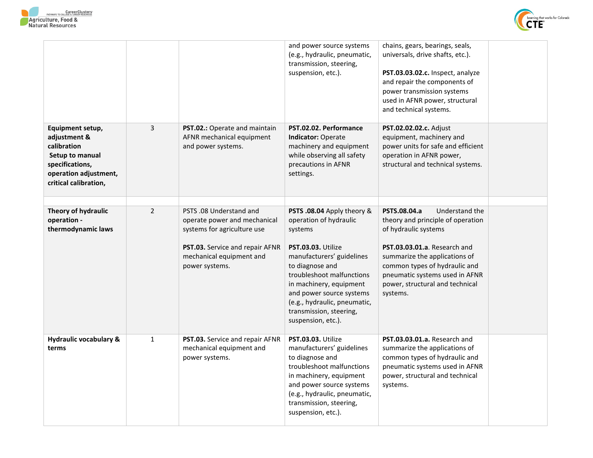



|                                                                                                                                         |                |                                                                                                                                                                         | and power source systems<br>(e.g., hydraulic, pneumatic,<br>transmission, steering,<br>suspension, etc.).                                                                                                                                                                                                  | chains, gears, bearings, seals,<br>universals, drive shafts, etc.).<br>PST.03.03.02.c. Inspect, analyze<br>and repair the components of<br>power transmission systems<br>used in AFNR power, structural<br>and technical systems.                                              |  |
|-----------------------------------------------------------------------------------------------------------------------------------------|----------------|-------------------------------------------------------------------------------------------------------------------------------------------------------------------------|------------------------------------------------------------------------------------------------------------------------------------------------------------------------------------------------------------------------------------------------------------------------------------------------------------|--------------------------------------------------------------------------------------------------------------------------------------------------------------------------------------------------------------------------------------------------------------------------------|--|
| Equipment setup,<br>adjustment &<br>calibration<br>Setup to manual<br>specifications,<br>operation adjustment,<br>critical calibration, | 3              | <b>PST.02.:</b> Operate and maintain<br>AFNR mechanical equipment<br>and power systems.                                                                                 | PST.02.02. Performance<br><b>Indicator: Operate</b><br>machinery and equipment<br>while observing all safety<br>precautions in AFNR<br>settings.                                                                                                                                                           | PST.02.02.02.c. Adjust<br>equipment, machinery and<br>power units for safe and efficient<br>operation in AFNR power,<br>structural and technical systems.                                                                                                                      |  |
| Theory of hydraulic<br>operation -<br>thermodynamic laws                                                                                | $\overline{2}$ | PSTS .08 Understand and<br>operate power and mechanical<br>systems for agriculture use<br>PST.03. Service and repair AFNR<br>mechanical equipment and<br>power systems. | PSTS .08.04 Apply theory &<br>operation of hydraulic<br>systems<br>PST.03.03. Utilize<br>manufacturers' guidelines<br>to diagnose and<br>troubleshoot malfunctions<br>in machinery, equipment<br>and power source systems<br>(e.g., hydraulic, pneumatic,<br>transmission, steering,<br>suspension, etc.). | PSTS.08.04.a<br>Understand the<br>theory and principle of operation<br>of hydraulic systems<br>PST.03.03.01.a. Research and<br>summarize the applications of<br>common types of hydraulic and<br>pneumatic systems used in AFNR<br>power, structural and technical<br>systems. |  |
| <b>Hydraulic vocabulary &amp;</b><br>terms                                                                                              | $\mathbf{1}$   | PST.03. Service and repair AFNR<br>mechanical equipment and<br>power systems.                                                                                           | PST.03.03. Utilize<br>manufacturers' guidelines<br>to diagnose and<br>troubleshoot malfunctions<br>in machinery, equipment<br>and power source systems<br>(e.g., hydraulic, pneumatic,<br>transmission, steering,<br>suspension, etc.).                                                                    | PST.03.03.01.a. Research and<br>summarize the applications of<br>common types of hydraulic and<br>pneumatic systems used in AFNR<br>power, structural and technical<br>systems.                                                                                                |  |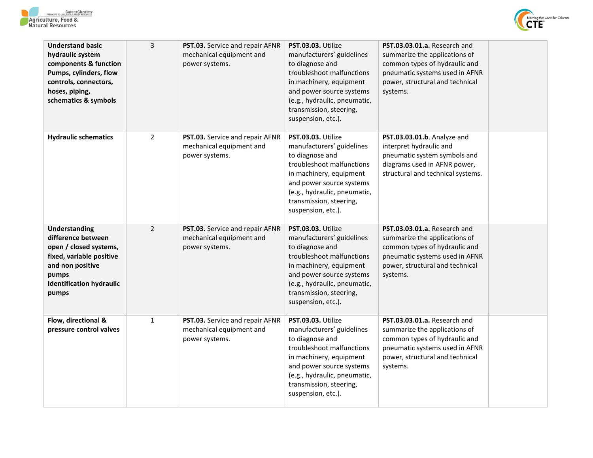



| <b>Understand basic</b><br>hydraulic system<br>components & function<br>Pumps, cylinders, flow<br>controls, connectors,<br>hoses, piping,<br>schematics & symbols         | 3              | PST.03. Service and repair AFNR<br>mechanical equipment and<br>power systems. | PST.03.03. Utilize<br>manufacturers' guidelines<br>to diagnose and<br>troubleshoot malfunctions<br>in machinery, equipment<br>and power source systems<br>(e.g., hydraulic, pneumatic,<br>transmission, steering,<br>suspension, etc.). | PST.03.03.01.a. Research and<br>summarize the applications of<br>common types of hydraulic and<br>pneumatic systems used in AFNR<br>power, structural and technical<br>systems. |  |
|---------------------------------------------------------------------------------------------------------------------------------------------------------------------------|----------------|-------------------------------------------------------------------------------|-----------------------------------------------------------------------------------------------------------------------------------------------------------------------------------------------------------------------------------------|---------------------------------------------------------------------------------------------------------------------------------------------------------------------------------|--|
| <b>Hydraulic schematics</b>                                                                                                                                               | $\overline{2}$ | PST.03. Service and repair AFNR<br>mechanical equipment and<br>power systems. | PST.03.03. Utilize<br>manufacturers' guidelines<br>to diagnose and<br>troubleshoot malfunctions<br>in machinery, equipment<br>and power source systems<br>(e.g., hydraulic, pneumatic,<br>transmission, steering,<br>suspension, etc.). | PST.03.03.01.b. Analyze and<br>interpret hydraulic and<br>pneumatic system symbols and<br>diagrams used in AFNR power,<br>structural and technical systems.                     |  |
| <b>Understanding</b><br>difference between<br>open / closed systems,<br>fixed, variable positive<br>and non positive<br>pumps<br><b>Identification hydraulic</b><br>pumps | $\overline{2}$ | PST.03. Service and repair AFNR<br>mechanical equipment and<br>power systems. | PST.03.03. Utilize<br>manufacturers' guidelines<br>to diagnose and<br>troubleshoot malfunctions<br>in machinery, equipment<br>and power source systems<br>(e.g., hydraulic, pneumatic,<br>transmission, steering,<br>suspension, etc.). | PST.03.03.01.a. Research and<br>summarize the applications of<br>common types of hydraulic and<br>pneumatic systems used in AFNR<br>power, structural and technical<br>systems. |  |
| Flow, directional &<br>pressure control valves                                                                                                                            | $\mathbf{1}$   | PST.03. Service and repair AFNR<br>mechanical equipment and<br>power systems. | PST.03.03. Utilize<br>manufacturers' guidelines<br>to diagnose and<br>troubleshoot malfunctions<br>in machinery, equipment<br>and power source systems<br>(e.g., hydraulic, pneumatic,<br>transmission, steering,<br>suspension, etc.). | PST.03.03.01.a. Research and<br>summarize the applications of<br>common types of hydraulic and<br>pneumatic systems used in AFNR<br>power, structural and technical<br>systems. |  |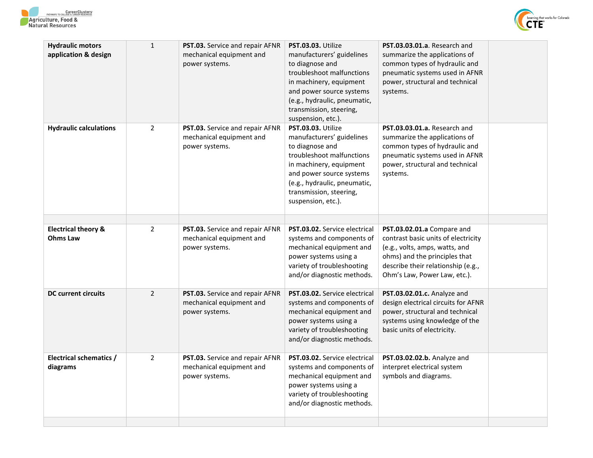



| <b>Hydraulic motors</b><br>application & design | $\mathbf{1}$   | PST.03. Service and repair AFNR<br>mechanical equipment and<br>power systems. | PST.03.03. Utilize<br>manufacturers' guidelines<br>to diagnose and<br>troubleshoot malfunctions<br>in machinery, equipment<br>and power source systems<br>(e.g., hydraulic, pneumatic,<br>transmission, steering,<br>suspension, etc.). | PST.03.03.01.a. Research and<br>summarize the applications of<br>common types of hydraulic and<br>pneumatic systems used in AFNR<br>power, structural and technical<br>systems. |  |
|-------------------------------------------------|----------------|-------------------------------------------------------------------------------|-----------------------------------------------------------------------------------------------------------------------------------------------------------------------------------------------------------------------------------------|---------------------------------------------------------------------------------------------------------------------------------------------------------------------------------|--|
| <b>Hydraulic calculations</b>                   | $\overline{2}$ | PST.03. Service and repair AFNR<br>mechanical equipment and<br>power systems. | PST.03.03. Utilize<br>manufacturers' guidelines<br>to diagnose and<br>troubleshoot malfunctions<br>in machinery, equipment<br>and power source systems<br>(e.g., hydraulic, pneumatic,<br>transmission, steering,<br>suspension, etc.). | PST.03.03.01.a. Research and<br>summarize the applications of<br>common types of hydraulic and<br>pneumatic systems used in AFNR<br>power, structural and technical<br>systems. |  |
| <b>Electrical theory &amp;</b>                  | $\overline{2}$ | PST.03. Service and repair AFNR                                               | <b>PST.03.02.</b> Service electrical                                                                                                                                                                                                    | PST.03.02.01.a Compare and                                                                                                                                                      |  |
| <b>Ohms Law</b>                                 |                | mechanical equipment and<br>power systems.                                    | systems and components of<br>mechanical equipment and<br>power systems using a<br>variety of troubleshooting<br>and/or diagnostic methods.                                                                                              | contrast basic units of electricity<br>(e.g., volts, amps, watts, and<br>ohms) and the principles that<br>describe their relationship (e.g.,<br>Ohm's Law, Power Law, etc.).    |  |
| <b>DC current circuits</b>                      | $\overline{2}$ | PST.03. Service and repair AFNR<br>mechanical equipment and<br>power systems. | PST.03.02. Service electrical<br>systems and components of<br>mechanical equipment and<br>power systems using a<br>variety of troubleshooting<br>and/or diagnostic methods.                                                             | PST.03.02.01.c. Analyze and<br>design electrical circuits for AFNR<br>power, structural and technical<br>systems using knowledge of the<br>basic units of electricity.          |  |
| <b>Electrical schematics /</b><br>diagrams      | $\overline{2}$ | PST.03. Service and repair AFNR<br>mechanical equipment and<br>power systems. | <b>PST.03.02.</b> Service electrical<br>systems and components of<br>mechanical equipment and<br>power systems using a<br>variety of troubleshooting<br>and/or diagnostic methods.                                                      | PST.03.02.02.b. Analyze and<br>interpret electrical system<br>symbols and diagrams.                                                                                             |  |
|                                                 |                |                                                                               |                                                                                                                                                                                                                                         |                                                                                                                                                                                 |  |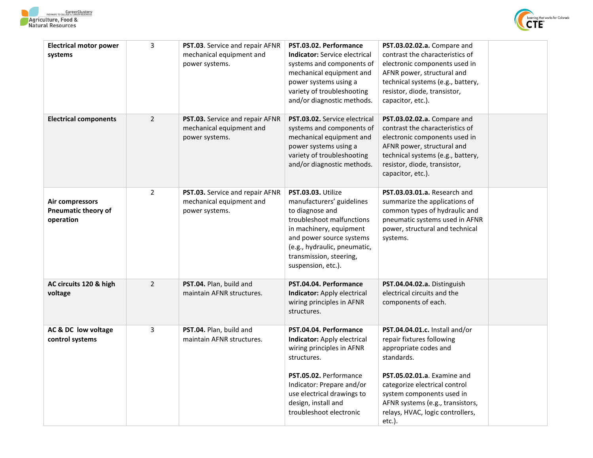



| <b>Electrical motor power</b> | 3              | PST.03. Service and repair AFNR | PST.03.02. Performance               | PST.03.02.02.a. Compare and        |  |
|-------------------------------|----------------|---------------------------------|--------------------------------------|------------------------------------|--|
| systems                       |                | mechanical equipment and        | <b>Indicator:</b> Service electrical | contrast the characteristics of    |  |
|                               |                | power systems.                  | systems and components of            | electronic components used in      |  |
|                               |                |                                 | mechanical equipment and             | AFNR power, structural and         |  |
|                               |                |                                 | power systems using a                | technical systems (e.g., battery,  |  |
|                               |                |                                 | variety of troubleshooting           | resistor, diode, transistor,       |  |
|                               |                |                                 | and/or diagnostic methods.           | capacitor, etc.).                  |  |
|                               |                |                                 |                                      |                                    |  |
| <b>Electrical components</b>  | $\overline{2}$ | PST.03. Service and repair AFNR | <b>PST.03.02.</b> Service electrical | PST.03.02.02.a. Compare and        |  |
|                               |                | mechanical equipment and        | systems and components of            | contrast the characteristics of    |  |
|                               |                | power systems.                  | mechanical equipment and             | electronic components used in      |  |
|                               |                |                                 | power systems using a                | AFNR power, structural and         |  |
|                               |                |                                 | variety of troubleshooting           | technical systems (e.g., battery,  |  |
|                               |                |                                 | and/or diagnostic methods.           | resistor, diode, transistor,       |  |
|                               |                |                                 |                                      | capacitor, etc.).                  |  |
|                               |                |                                 |                                      |                                    |  |
|                               | $\overline{2}$ | PST.03. Service and repair AFNR | PST.03.03. Utilize                   | PST.03.03.01.a. Research and       |  |
| Air compressors               |                | mechanical equipment and        | manufacturers' guidelines            | summarize the applications of      |  |
| <b>Pneumatic theory of</b>    |                | power systems.                  | to diagnose and                      | common types of hydraulic and      |  |
| operation                     |                |                                 | troubleshoot malfunctions            | pneumatic systems used in AFNR     |  |
|                               |                |                                 | in machinery, equipment              | power, structural and technical    |  |
|                               |                |                                 | and power source systems             | systems.                           |  |
|                               |                |                                 | (e.g., hydraulic, pneumatic,         |                                    |  |
|                               |                |                                 | transmission, steering,              |                                    |  |
|                               |                |                                 | suspension, etc.).                   |                                    |  |
| AC circuits 120 & high        | $\overline{2}$ | PST.04. Plan, build and         | PST.04.04. Performance               | PST.04.04.02.a. Distinguish        |  |
| voltage                       |                | maintain AFNR structures.       | <b>Indicator:</b> Apply electrical   | electrical circuits and the        |  |
|                               |                |                                 | wiring principles in AFNR            | components of each.                |  |
|                               |                |                                 | structures.                          |                                    |  |
|                               |                |                                 |                                      |                                    |  |
| AC & DC low voltage           | 3              | PST.04. Plan, build and         | PST.04.04. Performance               | PST.04.04.01.c. Install and/or     |  |
| control systems               |                | maintain AFNR structures.       | <b>Indicator:</b> Apply electrical   | repair fixtures following          |  |
|                               |                |                                 | wiring principles in AFNR            | appropriate codes and              |  |
|                               |                |                                 | structures.                          | standards.                         |  |
|                               |                |                                 |                                      |                                    |  |
|                               |                |                                 | PST.05.02. Performance               | <b>PST.05.02.01.a.</b> Examine and |  |
|                               |                |                                 | Indicator: Prepare and/or            | categorize electrical control      |  |
|                               |                |                                 | use electrical drawings to           | system components used in          |  |
|                               |                |                                 | design, install and                  | AFNR systems (e.g., transistors,   |  |
|                               |                |                                 | troubleshoot electronic              | relays, HVAC, logic controllers,   |  |
|                               |                |                                 |                                      | etc.).                             |  |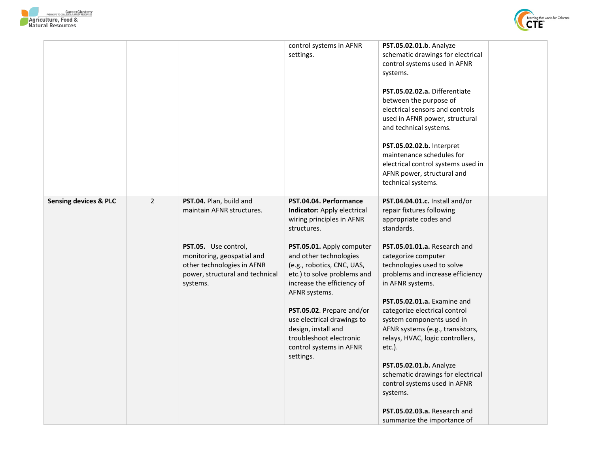

|                                  |                |                                                                                                                                                                                         | control systems in AFNR<br>settings.                                                                                                                                                                                                                                                                                                                                                                                      | PST.05.02.01.b. Analyze<br>schematic drawings for electrical<br>control systems used in AFNR<br>systems.<br>PST.05.02.02.a. Differentiate<br>between the purpose of<br>electrical sensors and controls<br>used in AFNR power, structural<br>and technical systems.<br>PST.05.02.02.b. Interpret<br>maintenance schedules for<br>electrical control systems used in<br>AFNR power, structural and<br>technical systems.                                                                                                                                                                                       |  |
|----------------------------------|----------------|-----------------------------------------------------------------------------------------------------------------------------------------------------------------------------------------|---------------------------------------------------------------------------------------------------------------------------------------------------------------------------------------------------------------------------------------------------------------------------------------------------------------------------------------------------------------------------------------------------------------------------|--------------------------------------------------------------------------------------------------------------------------------------------------------------------------------------------------------------------------------------------------------------------------------------------------------------------------------------------------------------------------------------------------------------------------------------------------------------------------------------------------------------------------------------------------------------------------------------------------------------|--|
| <b>Sensing devices &amp; PLC</b> | $\overline{2}$ | PST.04. Plan, build and<br>maintain AFNR structures.<br>PST.05. Use control,<br>monitoring, geospatial and<br>other technologies in AFNR<br>power, structural and technical<br>systems. | PST.04.04. Performance<br>Indicator: Apply electrical<br>wiring principles in AFNR<br>structures.<br>PST.05.01. Apply computer<br>and other technologies<br>(e.g., robotics, CNC, UAS,<br>etc.) to solve problems and<br>increase the efficiency of<br>AFNR systems.<br>PST.05.02. Prepare and/or<br>use electrical drawings to<br>design, install and<br>troubleshoot electronic<br>control systems in AFNR<br>settings. | PST.04.04.01.c. Install and/or<br>repair fixtures following<br>appropriate codes and<br>standards.<br>PST.05.01.01.a. Research and<br>categorize computer<br>technologies used to solve<br>problems and increase efficiency<br>in AFNR systems.<br>PST.05.02.01.a. Examine and<br>categorize electrical control<br>system components used in<br>AFNR systems (e.g., transistors,<br>relays, HVAC, logic controllers,<br>$etc.$ ).<br>PST.05.02.01.b. Analyze<br>schematic drawings for electrical<br>control systems used in AFNR<br>systems.<br>PST.05.02.03.a. Research and<br>summarize the importance of |  |